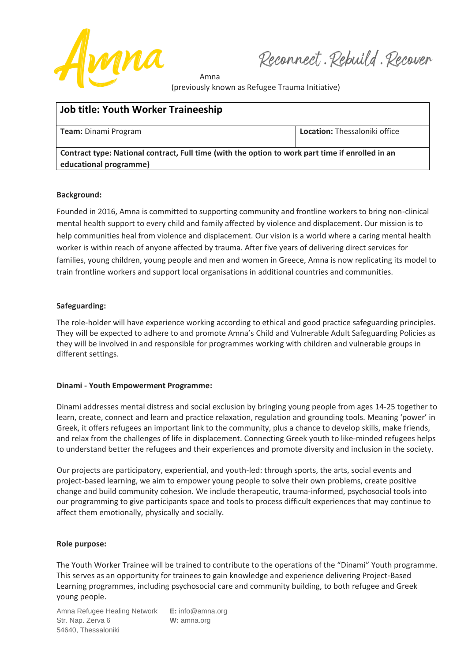

Reconnect. Rebuild. Recover

Amna (previously known as Refugee Trauma Initiative)

| <b>Job title: Youth Worker Traineeship</b>                                                                                 |                                      |
|----------------------------------------------------------------------------------------------------------------------------|--------------------------------------|
| Team: Dinami Program                                                                                                       | <b>Location:</b> Thessaloniki office |
| Contract type: National contract, Full time (with the option to work part time if enrolled in an<br>educational programme) |                                      |

## **Background:**

Founded in 2016, Amna is committed to supporting community and frontline workers to bring non-clinical mental health support to every child and family affected by violence and displacement. Our mission is to help communities heal from violence and displacement. Our vision is a world where a caring mental health worker is within reach of anyone affected by trauma. After five years of delivering direct services for families, young children, young people and men and women in Greece, Amna is now replicating its model to train frontline workers and support local organisations in additional countries and communities.

# **Safeguarding:**

The role-holder will have experience working according to ethical and good practice safeguarding principles. They will be expected to adhere to and promote Amna's Child and Vulnerable Adult Safeguarding Policies as they will be involved in and responsible for programmes working with children and vulnerable groups in different settings.

## **Dinami - Youth Empowerment Programme:**

Dinami addresses mental distress and social exclusion by bringing young people from ages 14-25 together to learn, create, connect and learn and practice relaxation, regulation and grounding tools. Meaning 'power' in Greek, it offers refugees an important link to the community, plus a chance to develop skills, make friends, and relax from the challenges of life in displacement. Connecting Greek youth to like-minded refugees helps to understand better the refugees and their experiences and promote diversity and inclusion in the society.

Our projects are participatory, experiential, and youth-led: through sports, the arts, social events and project-based learning, we aim to empower young people to solve their own problems, create positive change and build community cohesion. We include therapeutic, trauma-informed, psychosocial tools into our programming to give participants space and tools to process difficult experiences that may continue to affect them emotionally, physically and socially.

## **Role purpose:**

The Youth Worker Trainee will be trained to contribute to the operations of the "Dinami" Youth programme. This serves as an opportunity for trainees to gain knowledge and experience delivering Project-Based Learning programmes, including psychosocial care and community building, to both refugee and Greek young people.

Amna Refugee Healing Network **E:** info@amna.org Str. Nap. Zerva 6 **W:** amna.org 54640, Thessaloniki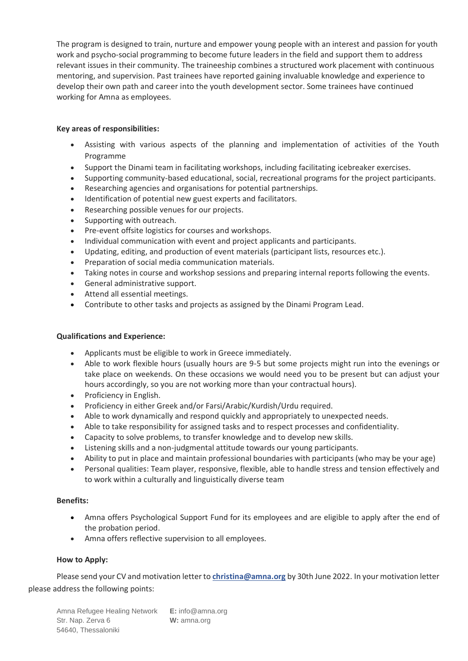The program is designed to train, nurture and empower young people with an interest and passion for youth work and psycho-social programming to become future leaders in the field and support them to address relevant issues in their community. The traineeship combines a structured work placement with continuous mentoring, and supervision. Past trainees have reported gaining invaluable knowledge and experience to develop their own path and career into the youth development sector. Some trainees have continued working for Amna as employees.

# **Key areas of responsibilities:**

- Assisting with various aspects of the planning and implementation of activities of the Youth Programme
- Support the Dinami team in facilitating workshops, including facilitating icebreaker exercises.
- Supporting community-based educational, social, recreational programs for the project participants.
- Researching agencies and organisations for potential partnerships.
- Identification of potential new guest experts and facilitators.
- Researching possible venues for our projects.
- Supporting with outreach.
- Pre-event offsite logistics for courses and workshops.
- Individual communication with event and project applicants and participants.
- Updating, editing, and production of event materials (participant lists, resources etc.).
- Preparation of social media communication materials.
- Taking notes in course and workshop sessions and preparing internal reports following the events.
- General administrative support.
- Attend all essential meetings.
- Contribute to other tasks and projects as assigned by the Dinami Program Lead.

## **Qualifications and Experience:**

- Applicants must be eligible to work in Greece immediately.
- Able to work flexible hours (usually hours are 9-5 but some projects might run into the evenings or take place on weekends. On these occasions we would need you to be present but can adjust your hours accordingly, so you are not working more than your contractual hours).
- Proficiency in English.
- Proficiency in either Greek and/or Farsi/Arabic/Kurdish/Urdu required.
- Able to work dynamically and respond quickly and appropriately to unexpected needs.
- Able to take responsibility for assigned tasks and to respect processes and confidentiality.
- Capacity to solve problems, to transfer knowledge and to develop new skills.
- Listening skills and a non-judgmental attitude towards our young participants.
- Ability to put in place and maintain professional boundaries with participants (who may be your age)
- Personal qualities: Team player, responsive, flexible, able to handle stress and tension effectively and to work within a culturally and linguistically diverse team

## **Benefits:**

- Amna offers Psychological Support Fund for its employees and are eligible to apply after the end of the probation period.
- Amna offers reflective supervision to all employees.

## **How to Apply:**

Please send your CV and motivation letter to **christina@amna.org** by 30th June 2022. In your motivation letter please address the following points:

Amna Refugee Healing Network **E:** info@amna.org Str. Nap. Zerva 6 **W:** amna.org 54640, Thessaloniki